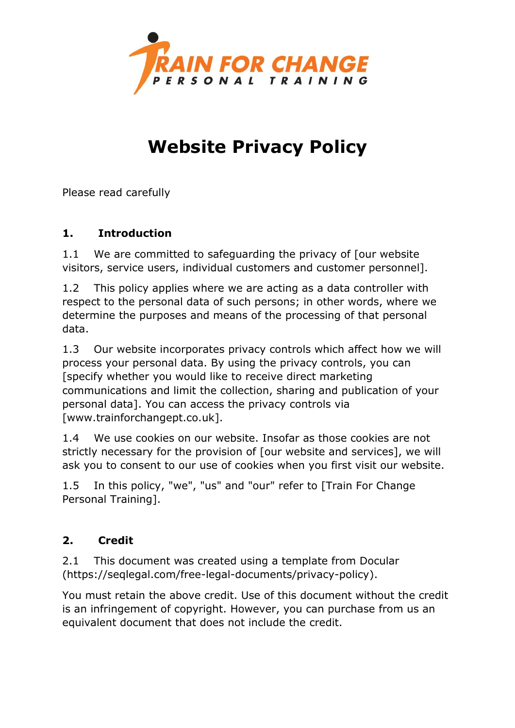

# **Website Privacy Policy**

Please read carefully

## **1. Introduction**

1.1 We are committed to safeguarding the privacy of [our website visitors, service users, individual customers and customer personnel].

1.2 This policy applies where we are acting as a data controller with respect to the personal data of such persons; in other words, where we determine the purposes and means of the processing of that personal data.

1.3 Our website incorporates privacy controls which affect how we will process your personal data. By using the privacy controls, you can [specify whether you would like to receive direct marketing communications and limit the collection, sharing and publication of your personal data]. You can access the privacy controls via [www.trainforchangept.co.uk].

1.4 We use cookies on our website. Insofar as those cookies are not strictly necessary for the provision of [our website and services], we will ask you to consent to our use of cookies when you first visit our website.

1.5 In this policy, "we", "us" and "our" refer to [Train For Change Personal Training].

## **2. Credit**

2.1 This document was created using a template from Docular (https://seqlegal.com/free-legal-documents/privacy-policy).

You must retain the above credit. Use of this document without the credit is an infringement of copyright. However, you can purchase from us an equivalent document that does not include the credit.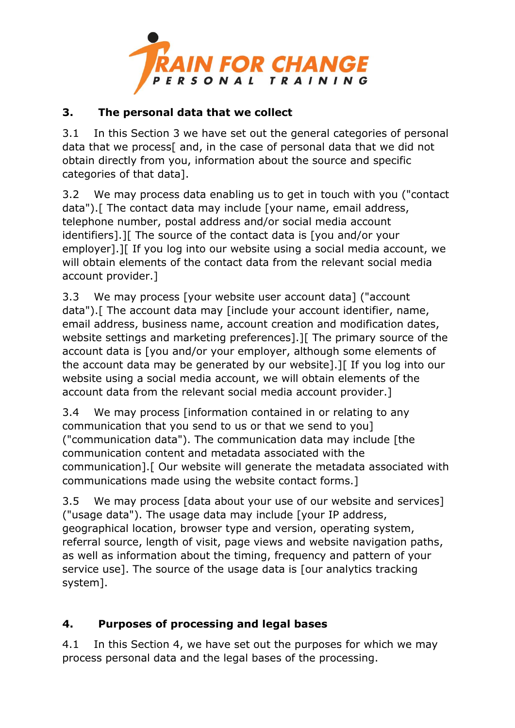

#### **3. The personal data that we collect**

3.1 In this Section 3 we have set out the general categories of personal data that we process[ and, in the case of personal data that we did not obtain directly from you, information about the source and specific categories of that data].

3.2 We may process data enabling us to get in touch with you ("contact data").[ The contact data may include [your name, email address, telephone number, postal address and/or social media account identifiers].][ The source of the contact data is [you and/or your employer].][ If you log into our website using a social media account, we will obtain elements of the contact data from the relevant social media account provider.]

3.3 We may process [your website user account data] ("account data").[ The account data may [include your account identifier, name, email address, business name, account creation and modification dates, website settings and marketing preferences].][ The primary source of the account data is [you and/or your employer, although some elements of the account data may be generated by our website].][ If you log into our website using a social media account, we will obtain elements of the account data from the relevant social media account provider.]

3.4 We may process [information contained in or relating to any communication that you send to us or that we send to you] ("communication data"). The communication data may include [the communication content and metadata associated with the communication].[ Our website will generate the metadata associated with communications made using the website contact forms.]

3.5 We may process [data about your use of our website and services] ("usage data"). The usage data may include [your IP address, geographical location, browser type and version, operating system, referral source, length of visit, page views and website navigation paths, as well as information about the timing, frequency and pattern of your service use]. The source of the usage data is [our analytics tracking system].

## **4. Purposes of processing and legal bases**

4.1 In this Section 4, we have set out the purposes for which we may process personal data and the legal bases of the processing.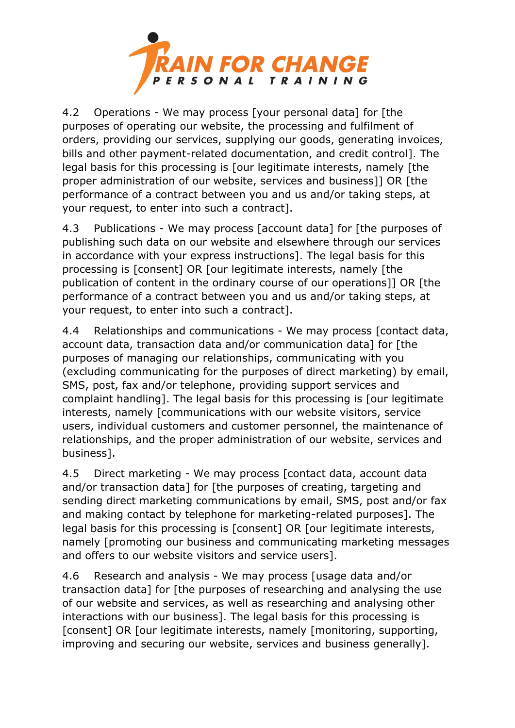

4.2 Operations - We may process [your personal data] for [the purposes of operating our website, the processing and fulfilment of orders, providing our services, supplying our goods, generating invoices, bills and other payment-related documentation, and credit control]. The legal basis for this processing is [our legitimate interests, namely [the proper administration of our website, services and business]] OR [the performance of a contract between you and us and/or taking steps, at your request, to enter into such a contract].

4.3 Publications - We may process [account data] for [the purposes of publishing such data on our website and elsewhere through our services in accordance with your express instructions]. The legal basis for this processing is [consent] OR [our legitimate interests, namely [the publication of content in the ordinary course of our operations]] OR [the performance of a contract between you and us and/or taking steps, at your request, to enter into such a contract].

4.4 Relationships and communications - We may process [contact data, account data, transaction data and/or communication data] for [the purposes of managing our relationships, communicating with you (excluding communicating for the purposes of direct marketing) by email, SMS, post, fax and/or telephone, providing support services and complaint handling]. The legal basis for this processing is [our legitimate interests, namely [communications with our website visitors, service users, individual customers and customer personnel, the maintenance of relationships, and the proper administration of our website, services and business].

4.5 Direct marketing - We may process [contact data, account data and/or transaction data1 for [the purposes of creating, targeting and sending direct marketing communications by email, SMS, post and/or fax and making contact by telephone for marketing-related purposes]. The legal basis for this processing is [consent] OR [our legitimate interests, namely [promoting our business and communicating marketing messages and offers to our website visitors and service users].

4.6 Research and analysis - We may process [usage data and/or transaction data] for [the purposes of researching and analysing the use of our website and services, as well as researching and analysing other interactions with our business]. The legal basis for this processing is [consent] OR [our legitimate interests, namely [monitoring, supporting, improving and securing our website, services and business generally].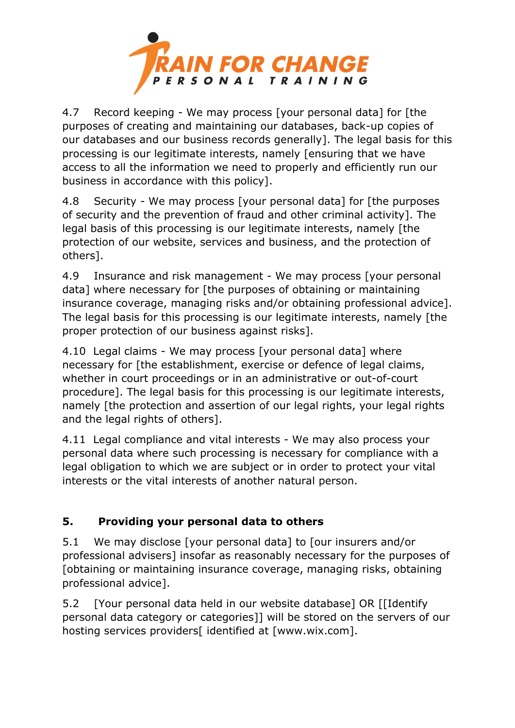

4.7 Record keeping - We may process [your personal data] for [the purposes of creating and maintaining our databases, back-up copies of our databases and our business records generally]. The legal basis for this processing is our legitimate interests, namely [ensuring that we have access to all the information we need to properly and efficiently run our business in accordance with this policy].

4.8 Security - We may process [your personal data] for [the purposes of security and the prevention of fraud and other criminal activity]. The legal basis of this processing is our legitimate interests, namely [the protection of our website, services and business, and the protection of others].

4.9 Insurance and risk management - We may process [your personal data] where necessary for [the purposes of obtaining or maintaining insurance coverage, managing risks and/or obtaining professional advice]. The legal basis for this processing is our legitimate interests, namely [the proper protection of our business against risks].

4.10 Legal claims - We may process [your personal data] where necessary for [the establishment, exercise or defence of legal claims, whether in court proceedings or in an administrative or out-of-court procedure]. The legal basis for this processing is our legitimate interests, namely [the protection and assertion of our legal rights, your legal rights and the legal rights of others].

4.11 Legal compliance and vital interests - We may also process your personal data where such processing is necessary for compliance with a legal obligation to which we are subject or in order to protect your vital interests or the vital interests of another natural person.

# **5. Providing your personal data to others**

5.1 We may disclose [your personal data] to [our insurers and/or professional advisers] insofar as reasonably necessary for the purposes of [obtaining or maintaining insurance coverage, managing risks, obtaining professional advice].

5.2 [Your personal data held in our website database] OR [[Identify personal data category or categories]] will be stored on the servers of our hosting services providers<sup>[</sup> identified at [www.wix.com].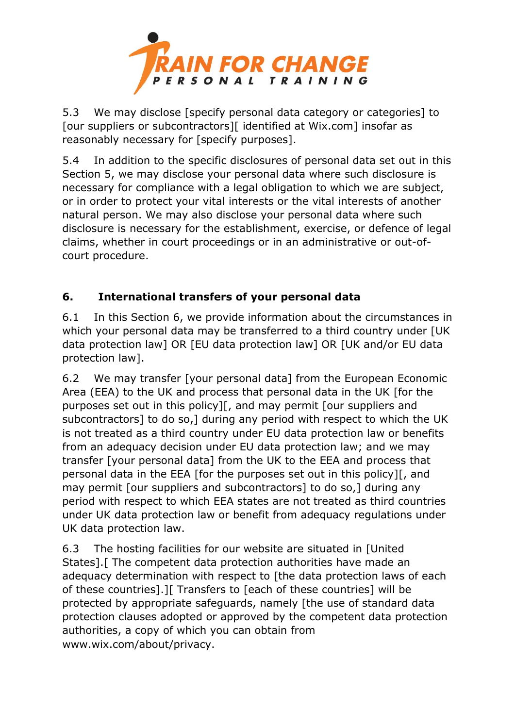

5.3 We may disclose [specify personal data category or categories] to [our suppliers or subcontractors][ identified at Wix.com] insofar as reasonably necessary for [specify purposes].

5.4 In addition to the specific disclosures of personal data set out in this Section 5, we may disclose your personal data where such disclosure is necessary for compliance with a legal obligation to which we are subject, or in order to protect your vital interests or the vital interests of another natural person. We may also disclose your personal data where such disclosure is necessary for the establishment, exercise, or defence of legal claims, whether in court proceedings or in an administrative or out-ofcourt procedure.

## **6. International transfers of your personal data**

6.1 In this Section 6, we provide information about the circumstances in which your personal data may be transferred to a third country under **[UK**] data protection law] OR [EU data protection law] OR [UK and/or EU data protection law].

6.2 We may transfer [your personal data] from the European Economic Area (EEA) to the UK and process that personal data in the UK [for the purposes set out in this policy][, and may permit [our suppliers and subcontractors] to do so,] during any period with respect to which the UK is not treated as a third country under EU data protection law or benefits from an adequacy decision under EU data protection law; and we may transfer [your personal data] from the UK to the EEA and process that personal data in the EEA [for the purposes set out in this policy][, and may permit [our suppliers and subcontractors] to do so,] during any period with respect to which EEA states are not treated as third countries under UK data protection law or benefit from adequacy regulations under UK data protection law.

6.3 The hosting facilities for our website are situated in [United States].[ The competent data protection authorities have made an adequacy determination with respect to [the data protection laws of each of these countries].][ Transfers to [each of these countries] will be protected by appropriate safeguards, namely [the use of standard data protection clauses adopted or approved by the competent data protection authorities, a copy of which you can obtain from www.wix.com/about/privacy.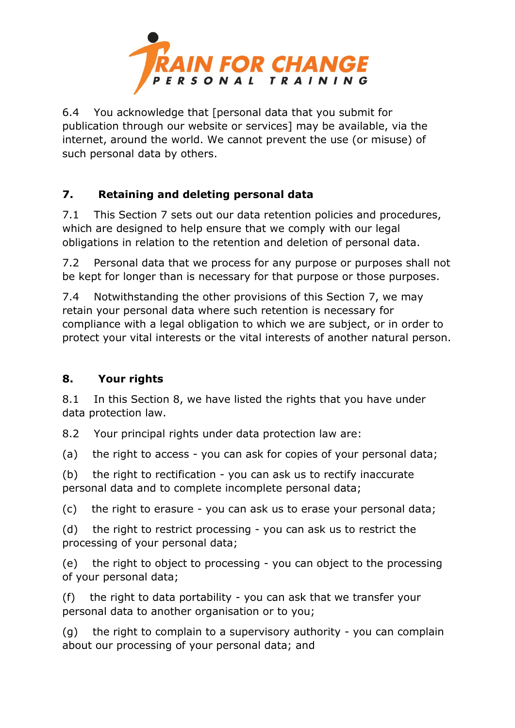

6.4 You acknowledge that [personal data that you submit for publication through our website or services] may be available, via the internet, around the world. We cannot prevent the use (or misuse) of such personal data by others.

## **7. Retaining and deleting personal data**

7.1 This Section 7 sets out our data retention policies and procedures, which are designed to help ensure that we comply with our legal obligations in relation to the retention and deletion of personal data.

7.2 Personal data that we process for any purpose or purposes shall not be kept for longer than is necessary for that purpose or those purposes.

7.4 Notwithstanding the other provisions of this Section 7, we may retain your personal data where such retention is necessary for compliance with a legal obligation to which we are subject, or in order to protect your vital interests or the vital interests of another natural person.

## **8. Your rights**

8.1 In this Section 8, we have listed the rights that you have under data protection law.

8.2 Your principal rights under data protection law are:

(a) the right to access - you can ask for copies of your personal data;

(b) the right to rectification - you can ask us to rectify inaccurate personal data and to complete incomplete personal data;

(c) the right to erasure - you can ask us to erase your personal data;

(d) the right to restrict processing - you can ask us to restrict the processing of your personal data;

(e) the right to object to processing - you can object to the processing of your personal data;

(f) the right to data portability - you can ask that we transfer your personal data to another organisation or to you;

(g) the right to complain to a supervisory authority - you can complain about our processing of your personal data; and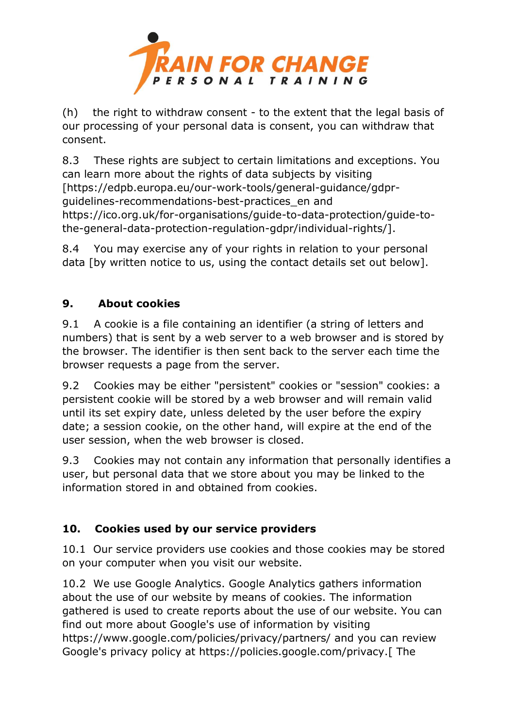

(h) the right to withdraw consent - to the extent that the legal basis of our processing of your personal data is consent, you can withdraw that consent.

8.3 These rights are subject to certain limitations and exceptions. You can learn more about the rights of data subjects by visiting [https://edpb.europa.eu/our-work-tools/general-guidance/gdprguidelines-recommendations-best-practices\_en and https://ico.org.uk/for-organisations/guide-to-data-protection/guide-tothe-general-data-protection-regulation-gdpr/individual-rights/].

8.4 You may exercise any of your rights in relation to your personal data [by written notice to us, using the contact details set out below].

## **9. About cookies**

9.1 A cookie is a file containing an identifier (a string of letters and numbers) that is sent by a web server to a web browser and is stored by the browser. The identifier is then sent back to the server each time the browser requests a page from the server.

9.2 Cookies may be either "persistent" cookies or "session" cookies: a persistent cookie will be stored by a web browser and will remain valid until its set expiry date, unless deleted by the user before the expiry date; a session cookie, on the other hand, will expire at the end of the user session, when the web browser is closed.

9.3 Cookies may not contain any information that personally identifies a user, but personal data that we store about you may be linked to the information stored in and obtained from cookies.

#### **10. Cookies used by our service providers**

10.1 Our service providers use cookies and those cookies may be stored on your computer when you visit our website.

10.2 We use Google Analytics. Google Analytics gathers information about the use of our website by means of cookies. The information gathered is used to create reports about the use of our website. You can find out more about Google's use of information by visiting https://www.google.com/policies/privacy/partners/ and you can review Google's privacy policy at https://policies.google.com/privacy.[ The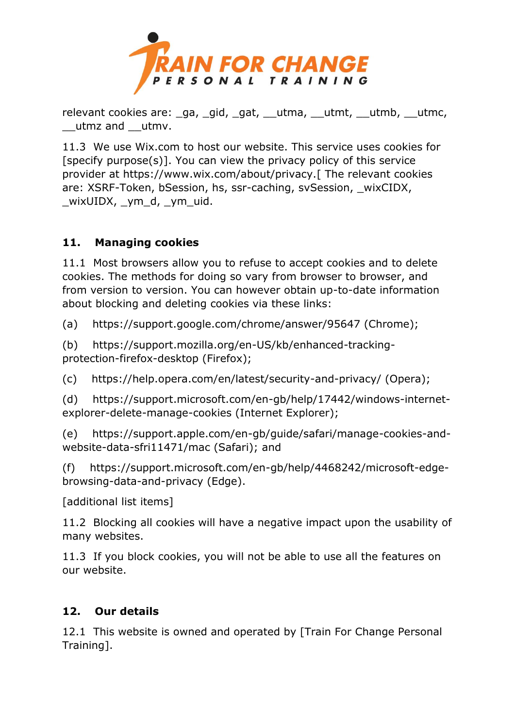

relevant cookies are: ga, gid, gat, utma, utmt, utmb, utmc, \_\_utmz and \_\_utmv.

11.3 We use Wix.com to host our website. This service uses cookies for [specify purpose(s)]. You can view the privacy policy of this service provider at https://www.wix.com/about/privacy.[ The relevant cookies are: XSRF-Token, bSession, hs, ssr-caching, svSession, wixCIDX, \_wixUIDX, \_ym\_d, \_ym\_uid.

## **11. Managing cookies**

11.1 Most browsers allow you to refuse to accept cookies and to delete cookies. The methods for doing so vary from browser to browser, and from version to version. You can however obtain up-to-date information about blocking and deleting cookies via these links:

(a) https://support.google.com/chrome/answer/95647 (Chrome);

(b) https://support.mozilla.org/en-US/kb/enhanced-trackingprotection-firefox-desktop (Firefox);

(c) https://help.opera.com/en/latest/security-and-privacy/ (Opera);

(d) https://support.microsoft.com/en-gb/help/17442/windows-internetexplorer-delete-manage-cookies (Internet Explorer);

(e) https://support.apple.com/en-gb/guide/safari/manage-cookies-andwebsite-data-sfri11471/mac (Safari); and

(f) https://support.microsoft.com/en-gb/help/4468242/microsoft-edgebrowsing-data-and-privacy (Edge).

[additional list items]

11.2 Blocking all cookies will have a negative impact upon the usability of many websites.

11.3 If you block cookies, you will not be able to use all the features on our website.

#### **12. Our details**

12.1 This website is owned and operated by [Train For Change Personal Training].